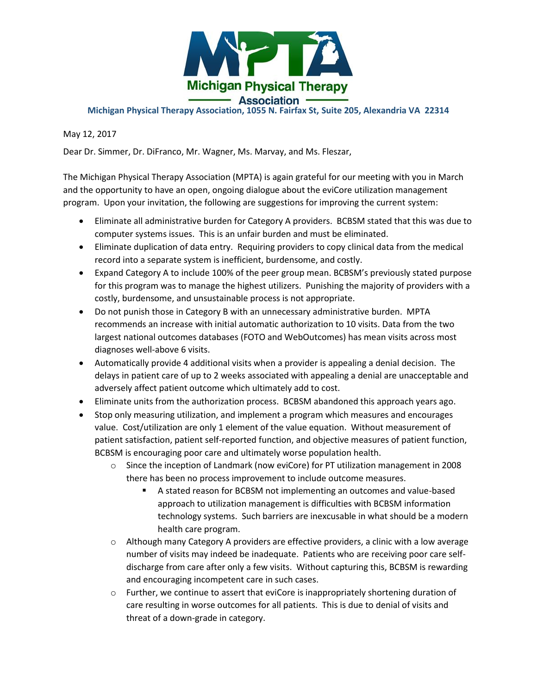

## **Michigan Physical Therapy Association, 1055 N. Fairfax St, Suite 205, Alexandria VA 22314**

May 12, 2017

Dear Dr. Simmer, Dr. DiFranco, Mr. Wagner, Ms. Marvay, and Ms. Fleszar,

The Michigan Physical Therapy Association (MPTA) is again grateful for our meeting with you in March and the opportunity to have an open, ongoing dialogue about the eviCore utilization management program. Upon your invitation, the following are suggestions for improving the current system:

- Eliminate all administrative burden for Category A providers. BCBSM stated that this was due to computer systems issues. This is an unfair burden and must be eliminated.
- Eliminate duplication of data entry. Requiring providers to copy clinical data from the medical record into a separate system is inefficient, burdensome, and costly.
- Expand Category A to include 100% of the peer group mean. BCBSM's previously stated purpose for this program was to manage the highest utilizers. Punishing the majority of providers with a costly, burdensome, and unsustainable process is not appropriate.
- Do not punish those in Category B with an unnecessary administrative burden. MPTA recommends an increase with initial automatic authorization to 10 visits. Data from the two largest national outcomes databases (FOTO and WebOutcomes) has mean visits across most diagnoses well-above 6 visits.
- Automatically provide 4 additional visits when a provider is appealing a denial decision. The delays in patient care of up to 2 weeks associated with appealing a denial are unacceptable and adversely affect patient outcome which ultimately add to cost.
- Eliminate units from the authorization process. BCBSM abandoned this approach years ago.
- Stop only measuring utilization, and implement a program which measures and encourages value. Cost/utilization are only 1 element of the value equation. Without measurement of patient satisfaction, patient self-reported function, and objective measures of patient function, BCBSM is encouraging poor care and ultimately worse population health.
	- o Since the inception of Landmark (now eviCore) for PT utilization management in 2008 there has been no process improvement to include outcome measures.
		- A stated reason for BCBSM not implementing an outcomes and value-based approach to utilization management is difficulties with BCBSM information technology systems. Such barriers are inexcusable in what should be a modern health care program.
	- $\circ$  Although many Category A providers are effective providers, a clinic with a low average number of visits may indeed be inadequate. Patients who are receiving poor care selfdischarge from care after only a few visits. Without capturing this, BCBSM is rewarding and encouraging incompetent care in such cases.
	- o Further, we continue to assert that eviCore is inappropriately shortening duration of care resulting in worse outcomes for all patients. This is due to denial of visits and threat of a down-grade in category.